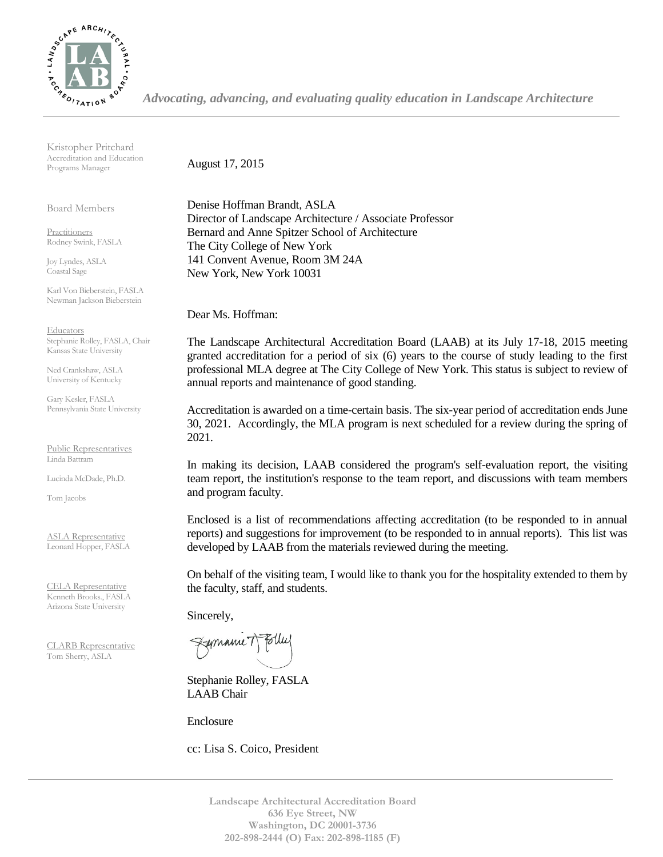

*Advocating, advancing, and evaluating quality education in Landscape Architecture*

Kristopher Pritchard Accreditation and Education Programs Manager

Board Members

Practitioners Rodney Swink, FASLA

Joy Lyndes, ASLA Coastal Sage

Karl Von Bieberstein, FASLA Newman Jackson Bieberstein

**Educators** Stephanie Rolley, FASLA, Chair Kansas State University

Ned Crankshaw, ASLA University of Kentucky

Gary Kesler, FASLA Pennsylvania State University

Public Representatives Linda Battram

Lucinda McDade, Ph.D.

Tom Jacobs

ASLA Representative Leonard Hopper, FASLA

CELA Representative Kenneth Brooks., FASLA Arizona State University

CLARB Representative Tom Sherry, ASLA

August 17, 2015

Denise Hoffman Brandt, ASLA Director of Landscape Architecture / Associate Professor Bernard and Anne Spitzer School of Architecture The City College of New York 141 Convent Avenue, Room 3M 24A New York, New York 10031

Dear Ms. Hoffman:

The Landscape Architectural Accreditation Board (LAAB) at its July 17-18, 2015 meeting granted accreditation for a period of six (6) years to the course of study leading to the first professional MLA degree at The City College of New York. This status is subject to review of annual reports and maintenance of good standing.

Accreditation is awarded on a time-certain basis. The six-year period of accreditation ends June 30, 2021. Accordingly, the MLA program is next scheduled for a review during the spring of 2021.

In making its decision, LAAB considered the program's self-evaluation report, the visiting team report, the institution's response to the team report, and discussions with team members and program faculty.

Enclosed is a list of recommendations affecting accreditation (to be responded to in annual reports) and suggestions for improvement (to be responded to in annual reports). This list was developed by LAAB from the materials reviewed during the meeting.

On behalf of the visiting team, I would like to thank you for the hospitality extended to them by the faculty, staff, and students.

Sincerely,

Fremanne T

Stephanie Rolley, FASLA LAAB Chair

Enclosure

cc: Lisa S. Coico, President